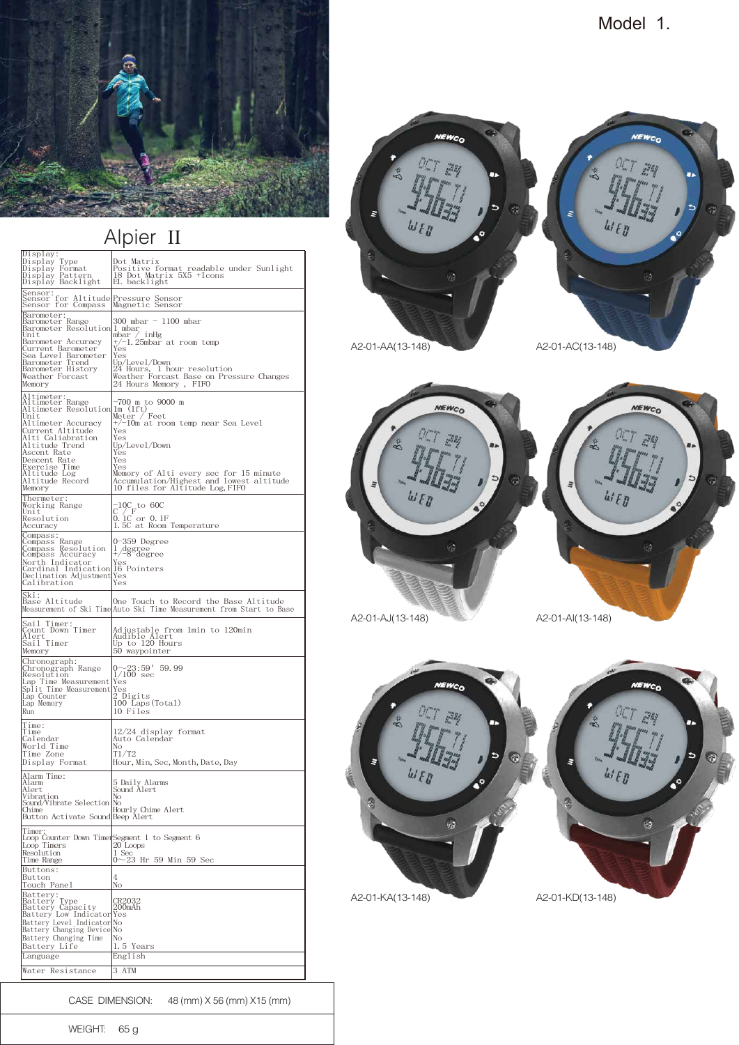

## Alpier II

| Display:<br>Type<br>Display<br>Display Format<br>Display Pattern<br>Display Backlight                                                                                                                                                                        | Dot Matrix<br>Positive format readable under Sunlight<br>18 Dot Matrix 5X5 +Icons<br>EL backlight                                                                                                                                                                 |
|--------------------------------------------------------------------------------------------------------------------------------------------------------------------------------------------------------------------------------------------------------------|-------------------------------------------------------------------------------------------------------------------------------------------------------------------------------------------------------------------------------------------------------------------|
| Sensor:<br>Sensor for Altitude<br>Sensor for Compass                                                                                                                                                                                                         | Pressure Sensor<br>Magnetic Sensor                                                                                                                                                                                                                                |
| Barometer:<br>Barometer Range<br>Barometer Resolution 1 mbar<br>Unit<br>Barometer Accuracy<br>Current Barometer<br>Sea Level Barometer<br>Barometer Trend<br>Barometer History<br>Weather Forcast<br>Memory                                                  | 300 mbar - 1100 mbar<br>mbar / inHg<br>+/-1.25mbar at room temp<br>Yes<br>Yes<br>Up/Level/Down<br>24 Hours, 1 hour resolution<br>Weather Forcast Base on Pressure Changes<br>24 Hours Memory , FIFO                                                               |
| Altimeter:<br>Altimeter Range<br>Altimeter Resolution<br>Unit<br>Altimeter Accuracy<br>Current Altitude<br>Alti Caliabration<br>Altitude Trend<br>Ascent Rate<br>Descent Rate<br>Exercise Time<br>Exercise Time<br>Altitude Log<br>Altitude Record<br>Memory | –700 m to 9000 m<br>lm(1ft)<br>Feet<br>Meter /<br>+/-10m at room temp near Sea Level<br>Yes<br>Yes<br>Up/Leve1/Down<br>Yes<br>Yes<br>Yes<br>Memory of Alti every sec for 15 minute<br>Accumulation/Highest and lowest altitude<br>10 files for Altitude Log, FIFO |
| Thermeter:<br>Working Range<br>Unit<br>Resolution<br>Accuracy                                                                                                                                                                                                | $_{\rm C}^{-10\rm C}$ to 60C<br>C <sup>*</sup> / <sup>-</sup> F<br>0.1C or 0.1F<br>1.5C a <u>t Room Temperature</u>                                                                                                                                               |
| Compass:<br>Compass Range<br>Compass Resolution<br>Compass Accuracy<br>North Indicator<br>Cardinal Indication 16 Pointers<br>Declination Adjustment<br>Calibration                                                                                           | 0-359 Degree<br>1.<br>1 degree<br>+/-8 degree<br>Yes<br>Yes<br>Yes                                                                                                                                                                                                |
| Ski:<br>Base Altitude                                                                                                                                                                                                                                        | One Touch to Record the Base Altitude<br>Measurement of Ski TimeAuto Ski Time Measurement from Start to Base                                                                                                                                                      |
| Sail Timer:<br>Count Down Timer<br>Alert<br>Sail Timer<br>Memory                                                                                                                                                                                             | Adjustable from 1min to 120min<br>Audible Alert<br>Up to 120 Hours<br>50 waypointer                                                                                                                                                                               |
| Chronograph:<br>Chronograph Range<br>Resolution 1/1<br>Lap Time Measurement Yes<br>Split Time Measurement Yes<br>Lap Counter<br>Lap Memory<br>Run                                                                                                            | $0{\sim}23.59'$ 59.99<br>$1/100 \sec$<br>2 Digits<br>100 Laps (Total)<br>10 Files                                                                                                                                                                                 |
| Time:<br>Time<br>Calendar<br>World Time<br>Time Zone<br>Display Format                                                                                                                                                                                       | 12/24 display format<br>Auto Calendar<br>No<br>T1/T2<br>Hour, Min, Sec, Month, Date, Day                                                                                                                                                                          |
| Alarm Time:<br>Alarm<br>Alert<br>Vibration<br>Sound/Vibrate Selection No<br>Chime<br>Button Activate Sound Beep Alert<br>Compared Beep Alert                                                                                                                 | 5 Daily Alarms<br>Sound Alert                                                                                                                                                                                                                                     |
| Timer<br>Loop Counter Down TimerSegment 1 to Segment 6<br>Loop Timers<br>Resolution<br>Time Range                                                                                                                                                            | 20 Loops<br>1 Sec<br>0~23 Hr 59 Min 59 Sec                                                                                                                                                                                                                        |
| Buttons:<br>Button<br><u>Touch Panel</u>                                                                                                                                                                                                                     | 4<br>No                                                                                                                                                                                                                                                           |
| Battery:<br>Battery Type<br>Battery Capacity<br>Battery Low Indicator<br>Battery Level Indicator No<br>Battery Changing Device No<br>Battery Changing Time<br>Battery Life<br>Language                                                                       | CR2032<br>200mAh<br>Yes<br>No<br>1.5 Years<br>English                                                                                                                                                                                                             |
| Water Resistance                                                                                                                                                                                                                                             | 3 ATM                                                                                                                                                                                                                                                             |

Model 1.



CASE DIMENSION: 48 (mm) X 56 (mm) X15 (mm)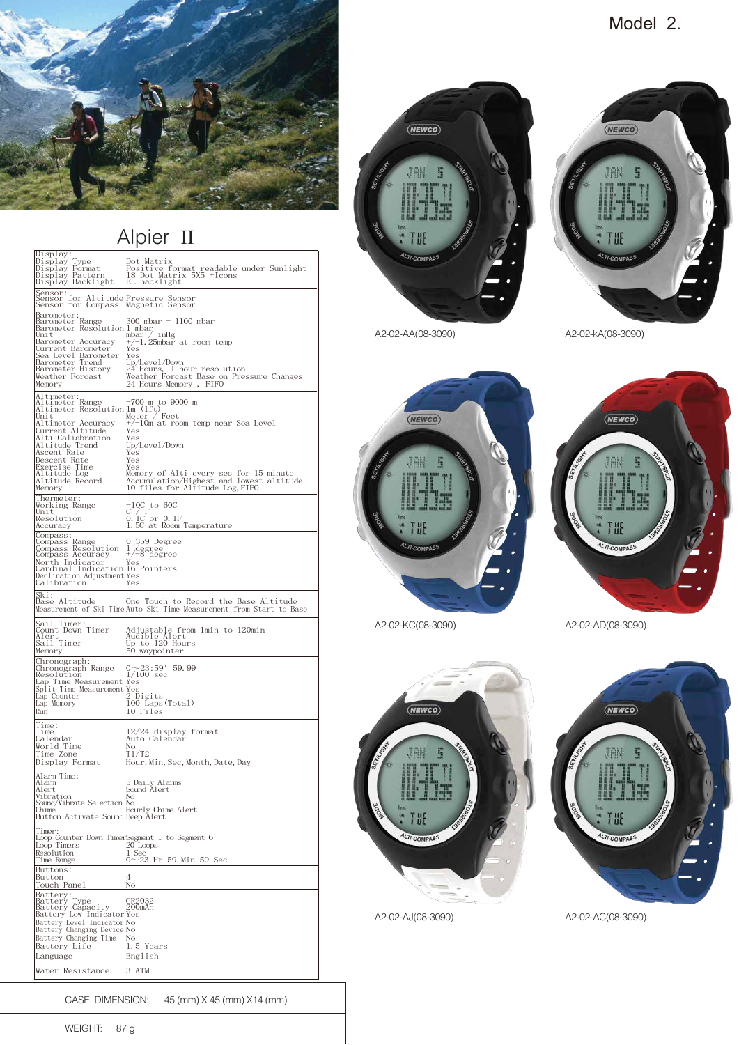

## Alpier II

| Display:<br>Display Type<br>Display Format<br>Display Pattern<br>Display Backlight                                                                                                                                                          | Dot Matrix<br>Positive format readable under Sunlight<br>18 Dot Matrix 5X5 +Icons<br>EL backlight                                                                                                                                                                |
|---------------------------------------------------------------------------------------------------------------------------------------------------------------------------------------------------------------------------------------------|------------------------------------------------------------------------------------------------------------------------------------------------------------------------------------------------------------------------------------------------------------------|
| Sensor: for Altitude Pressure Sensor<br>Magnetic Sensor<br>Sensor for Compass                                                                                                                                                               | Magnetic Sensor                                                                                                                                                                                                                                                  |
| Barometer:<br>Barometer Range<br>Barometer Resolution 1 mbar<br>Unit<br>Barometer Accuracy<br>Current Barometer<br>Sea Level Barometer<br>Barometer Trend<br>Barometer History<br>Weather Forcast<br>Memory                                 | 300 mbar - 1100 mbar<br>mbar / inHg<br>+/-1.25mbar at room temp<br>Yes<br>Yes<br>Up/Leve1/Down<br>24 Hours, 1 hour resolution<br>Weather Forcast Base on Pressure Changes<br>24 Hours Memory , FIFO                                                              |
| Altimeter:<br>Altimeter Range<br>Altimeter Resolution<br>Unit<br>Altimeter Accuracy<br>Current Altitude<br>Alti Caliabration<br>Altitude Trend<br>Ascent Rate<br>Descent Rate<br>Exercise Time<br>Altitude Log<br>Altitude Record<br>Memory | –700 m to 9000 m<br>lm(1ft)<br>Feet<br>Meter /<br>+/-10m at room temp near Sea Level<br>Yes<br>Yes<br>Up/Level/Down<br>Yes<br>Yes<br>Yes<br>Memory of Alti every sec for 15 minute<br>Accumulation/Highest and lowest altitude<br>10 files for Altitude Log,FIFO |
| Thermeter:<br>Working Range<br>Unit<br>Resolution<br>Accuracy                                                                                                                                                                               | $\mathcal{C}^1/\mathcal{C}^-$ to 60C<br>C <sup>*</sup> /F<br>0.1C or 0.1F<br>1.5C at <u>Room Temperature</u>                                                                                                                                                     |
| Compass:<br>Compass Range<br>Compass Resolution<br>Compass Accuracy<br>North Indicator<br>Cardinal Indication 16 Pointers<br>Declination Adjustment<br>Calibration                                                                          | 0-359 Degree<br>1 degree<br>+/-8 degree<br>Yes<br>Yes<br>Yes                                                                                                                                                                                                     |
| Ski:<br>Base Altitude                                                                                                                                                                                                                       | One Touch to Record the Base Altitude<br>Measurement of Ski TimeAuto Ski Time Measurement from Start to Base                                                                                                                                                     |
| Sail Timer:<br>Count Down Timer<br>Alert<br>Sail Timer<br>Memory                                                                                                                                                                            | Adjustable from 1min to 120min<br>Audible Alert<br>Up to 120 Hours<br>50 waypointer                                                                                                                                                                              |
| Chronograph:<br>Chronograph Range<br>Resolution<br>Lap Time Measurement Yes<br>Split Time Measurement Yes<br>Lap Counter<br>Lap Memory<br>Run                                                                                               | $0{\sim}23{\thinspace}:59'$ 59.99<br>$1/100$ sec<br>! Digits<br>100 Laps (Total)<br>10 Files                                                                                                                                                                     |
| Time:<br>Time<br>Calendar<br>World Time<br>Time Zone<br>Display Format                                                                                                                                                                      | 12/24 display format<br>Auto Calendar<br>No<br>T1/T2<br>Hour, Min, Sec, Month, Date, Day                                                                                                                                                                         |
| Alarm Time:<br>Alarm<br>Alert<br>Sound/Vibrate Selection No<br>Chime<br>Button Activate Sound Beep Alert<br>Peep Alert                                                                                                                      | 5 Daily Alarms<br>Sound Alert                                                                                                                                                                                                                                    |
| Timer,<br>Loop Timers<br>Resolution<br>Time Range<br>Buttons:<br>Button<br>Touch Panel                                                                                                                                                      | Loop Counter Down TimerSegment 1 to Segment 6<br>20 Loops<br>1 Sec<br>0~23 Hr 59 Min 59 Sec<br>4<br>No                                                                                                                                                           |
| Battery:<br>Battery Type<br>Battery Capacity<br>Battery Low Indicator<br>Battery Level Indicator No<br>Battery Changing Device No<br>Battery Changing Time<br>Battery Life<br>Language                                                      | CR2032<br>200mAh<br>Yes<br>No<br>1.5 Years<br>English                                                                                                                                                                                                            |
| Water Resistance                                                                                                                                                                                                                            | 3 ATM                                                                                                                                                                                                                                                            |

CASE DIMENSION: 45 (mm) X 45 (mm) X14 (mm)



A2-02-AJ(08-3090) A2-02-AC(08-3090)

Ж

A2-02-AA(08-3090) A2-02-kA(08-3090)





A2-02-KC(08-3090) A2-02-AD(08-3090)

 $(\overline{\text{NEWCO}})$ 





(NEWCO)

JAN

T UE



WEIGHT: 87 g